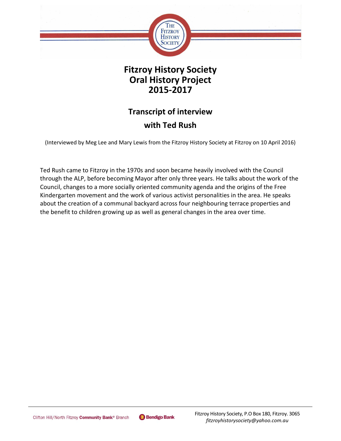

## **Fitzroy History Society Oral History Project 2015-2017**

# **Transcript of interview with Ted Rush**

(Interviewed by Meg Lee and Mary Lewis from the Fitzroy History Society at Fitzroy on 10 April 2016)

Ted Rush came to Fitzroy in the 1970s and soon became heavily involved with the Council through the ALP, before becoming Mayor after only three years. He talks about the work of the Council, changes to a more socially oriented community agenda and the origins of the Free Kindergarten movement and the work of various activist personalities in the area. He speaks about the creation of a communal backyard across four neighbouring terrace properties and the benefit to children growing up as well as general changes in the area over time.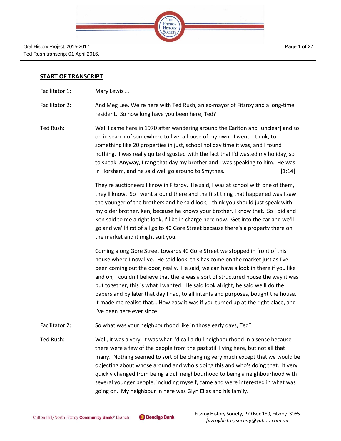| <b>THE FITZROY</b><br>HISTORY |  |
|-------------------------------|--|
|                               |  |
|                               |  |

#### **START OF TRANSCRIPT**

- Facilitator 1: Mary Lewis ...
- Facilitator 2: And Meg Lee. We're here with Ted Rush, an ex-mayor of Fitzroy and a long-time resident. So how long have you been here, Ted?
- Ted Rush: Well I came here in 1970 after wandering around the Carlton and [unclear] and so on in search of somewhere to live, a house of my own. I went, I think, to something like 20 properties in just, school holiday time it was, and I found nothing. I was really quite disgusted with the fact that I'd wasted my holiday, so to speak. Anyway, I rang that day my brother and I was speaking to him. He was in Horsham, and he said well go around to Smythes. [1:14]

They're auctioneers I know in Fitzroy. He said, I was at school with one of them, they'll know. So I went around there and the first thing that happened was I saw the younger of the brothers and he said look, I think you should just speak with my older brother, Ken, because he knows your brother, I know that. So I did and Ken said to me alright look, I'll be in charge here now. Get into the car and we'll go and we'll first of all go to 40 Gore Street because there's a property there on the market and it might suit you.

Coming along Gore Street towards 40 Gore Street we stopped in front of this house where I now live. He said look, this has come on the market just as I've been coming out the door, really. He said, we can have a look in there if you like and oh, I couldn't believe that there was a sort of structured house the way it was put together, this is what I wanted. He said look alright, he said we'll do the papers and by later that day I had, to all intents and purposes, bought the house. It made me realise that… How easy it was if you turned up at the right place, and I've been here ever since.

- Facilitator 2: So what was your neighbourhood like in those early days, Ted?
- Ted Rush: Well, it was a very, it was what I'd call a dull neighbourhood in a sense because there were a few of the people from the past still living here, but not all that many. Nothing seemed to sort of be changing very much except that we would be objecting about whose around and who's doing this and who's doing that. It very quickly changed from being a dull neighbourhood to being a neighbourhood with several younger people, including myself, came and were interested in what was going on. My neighbour in here was Glyn Elias and his family.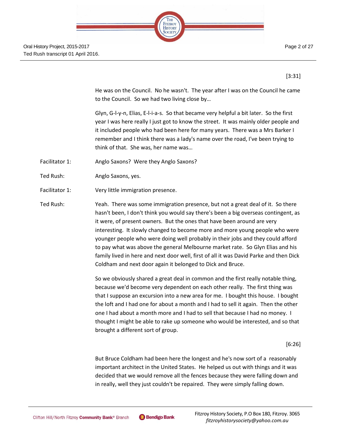|                    | <b>STATE</b> |
|--------------------|--------------|
|                    |              |
| FITZROY<br>HISTORY |              |
|                    |              |
|                    |              |

[3:31]

He was on the Council. No he wasn't. The year after I was on the Council he came to the Council. So we had two living close by…

Glyn, G-l-y-n, Elias, E-l-i-a-s. So that became very helpful a bit later. So the first year I was here really I just got to know the street. It was mainly older people and it included people who had been here for many years. There was a Mrs Barker I remember and I think there was a lady's name over the road, I've been trying to think of that. She was, her name was…

- Facilitator 1: Anglo Saxons? Were they Anglo Saxons?
- Ted Rush: Anglo Saxons, yes.
- Facilitator 1: Very little immigration presence.

Ted Rush: Yeah. There was some immigration presence, but not a great deal of it. So there hasn't been, I don't think you would say there's been a big overseas contingent, as it were, of present owners. But the ones that have been around are very interesting. It slowly changed to become more and more young people who were younger people who were doing well probably in their jobs and they could afford to pay what was above the general Melbourne market rate. So Glyn Elias and his family lived in here and next door well, first of all it was David Parke and then Dick Coldham and next door again it belonged to Dick and Bruce.

> So we obviously shared a great deal in common and the first really notable thing, because we'd become very dependent on each other really. The first thing was that I suppose an excursion into a new area for me. I bought this house. I bought the loft and I had one for about a month and I had to sell it again. Then the other one I had about a month more and I had to sell that because I had no money. I thought I might be able to rake up someone who would be interested, and so that brought a different sort of group.

> > [6:26]

But Bruce Coldham had been here the longest and he's now sort of a reasonably important architect in the United States. He helped us out with things and it was decided that we would remove all the fences because they were falling down and in really, well they just couldn't be repaired. They were simply falling down.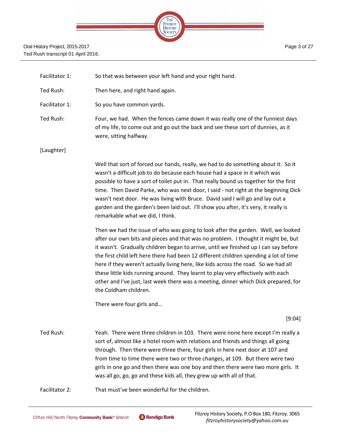

Page 3 of 27

| Facilitator 1: | So that was between your left hand and your right hand. |  |
|----------------|---------------------------------------------------------|--|
|                |                                                         |  |

- Ted Rush: Then here, and right hand again.
- Facilitator 1: So you have common yards.

Ted Rush: Four, we had. When the fences came down it was really one of the funniest days of my life, to come out and go out the back and see these sort of dunnies, as it were, sitting halfway.

## [Laughter]

Well that sort of forced our hands, really, we had to do something about it. So it wasn't a difficult job to do because each house had a space in it which was possible to have a sort of toilet put in. That really bound us together for the first time. Then David Parke, who was next door, I said - not right at the beginning Dick wasn't next door. He was living with Bruce. David said I will go and lay out a garden and the garden's been laid out. I'll show you after, it's very, it really is remarkable what we did, I think.

Then we had the issue of who was going to look after the garden. Well, we looked after our own bits and pieces and that was no problem. I thought it might be, but it wasn't. Gradually children began to arrive, until we finished up I can say before the first child left here there had been 12 different children spending a lot of time here if they weren't actually living here, like kids across the road. So we had all these little kids running around. They learnt to play very effectively with each other and I've just, last week there was a meeting, dinner which Dick prepared, for the Coldham children.

There were four girls and…

[9:04]

Ted Rush: Yeah. There were three children in 103. There were none here except I'm really a sort of, almost like a hotel room with relations and friends and things all going through. Then there were three there, four girls in here next door at 107 and from time to time there were two or three changes, at 109. But there were two girls in one go and then there was one boy and then there were two more girls. It was all go, go, go and these kids all, they grew up with all of that.

Facilitator 2: That must've been wonderful for the children.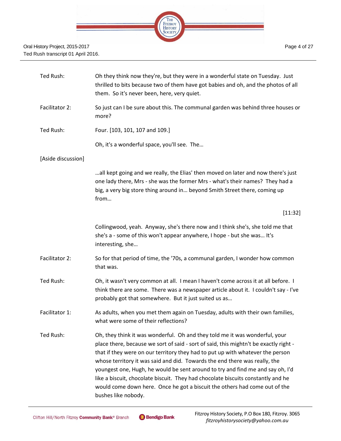

| Ted Rush:          | Oh they think now they're, but they were in a wonderful state on Tuesday. Just<br>thrilled to bits because two of them have got babies and oh, and the photos of all<br>them. So it's never been, here, very quiet.                                                                                                                                                                                                                                                                                                                                                                                             |
|--------------------|-----------------------------------------------------------------------------------------------------------------------------------------------------------------------------------------------------------------------------------------------------------------------------------------------------------------------------------------------------------------------------------------------------------------------------------------------------------------------------------------------------------------------------------------------------------------------------------------------------------------|
| Facilitator 2:     | So just can I be sure about this. The communal garden was behind three houses or<br>more?                                                                                                                                                                                                                                                                                                                                                                                                                                                                                                                       |
| Ted Rush:          | Four. [103, 101, 107 and 109.]                                                                                                                                                                                                                                                                                                                                                                                                                                                                                                                                                                                  |
|                    | Oh, it's a wonderful space, you'll see. The                                                                                                                                                                                                                                                                                                                                                                                                                                                                                                                                                                     |
| [Aside discussion] |                                                                                                                                                                                                                                                                                                                                                                                                                                                                                                                                                                                                                 |
|                    | all kept going and we really, the Elias' then moved on later and now there's just<br>one lady there, Mrs - she was the former Mrs - what's their names? They had a<br>big, a very big store thing around in beyond Smith Street there, coming up<br>from                                                                                                                                                                                                                                                                                                                                                        |
|                    | [11:32]                                                                                                                                                                                                                                                                                                                                                                                                                                                                                                                                                                                                         |
|                    | Collingwood, yeah. Anyway, she's there now and I think she's, she told me that<br>she's a - some of this won't appear anywhere, I hope - but she was It's<br>interesting, she                                                                                                                                                                                                                                                                                                                                                                                                                                   |
| Facilitator 2:     | So for that period of time, the '70s, a communal garden, I wonder how common<br>that was.                                                                                                                                                                                                                                                                                                                                                                                                                                                                                                                       |
| Ted Rush:          | Oh, it wasn't very common at all. I mean I haven't come across it at all before. I<br>think there are some. There was a newspaper article about it. I couldn't say - I've<br>probably got that somewhere. But it just suited us as                                                                                                                                                                                                                                                                                                                                                                              |
| Facilitator 1:     | As adults, when you met them again on Tuesday, adults with their own families,<br>what were some of their reflections?                                                                                                                                                                                                                                                                                                                                                                                                                                                                                          |
| Ted Rush:          | Oh, they think it was wonderful. Oh and they told me it was wonderful, your<br>place there, because we sort of said - sort of said, this mightn't be exactly right -<br>that if they were on our territory they had to put up with whatever the person<br>whose territory it was said and did. Towards the end there was really, the<br>youngest one, Hugh, he would be sent around to try and find me and say oh, I'd<br>like a biscuit, chocolate biscuit. They had chocolate biscuits constantly and he<br>would come down here. Once he got a biscuit the others had come out of the<br>bushes like nobody. |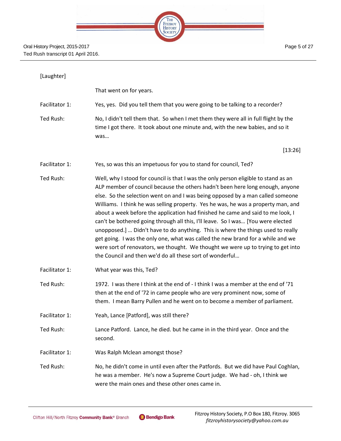

## [Laughter]

That went on for years.

Facilitator 1: Yes, yes. Did you tell them that you were going to be talking to a recorder?

Ted Rush: No, I didn't tell them that. So when I met them they were all in full flight by the time I got there. It took about one minute and, with the new babies, and so it was…

[13:26]

- Facilitator 1: Yes, so was this an impetuous for you to stand for council, Ted?
- Ted Rush: Well, why I stood for council is that I was the only person eligible to stand as an ALP member of council because the others hadn't been here long enough, anyone else. So the selection went on and I was being opposed by a man called someone Williams. I think he was selling property. Yes he was, he was a property man, and about a week before the application had finished he came and said to me look, I can't be bothered going through all this, I'll leave. So I was… [You were elected unopposed.] … Didn't have to do anything. This is where the things used to really get going. I was the only one, what was called the new brand for a while and we were sort of renovators, we thought. We thought we were up to trying to get into the Council and then we'd do all these sort of wonderful…
- Facilitator 1: What year was this, Ted?
- Ted Rush: 1972. I was there I think at the end of I think I was a member at the end of '71 then at the end of '72 in came people who are very prominent now, some of them. I mean Barry Pullen and he went on to become a member of parliament.
- Facilitator 1: Yeah, Lance [Patford], was still there?
- Ted Rush: Lance Patford. Lance, he died. but he came in in the third year. Once and the second.
- Facilitator 1: Was Ralph Mclean amongst those?
- Ted Rush: No, he didn't come in until even after the Patfords. But we did have Paul Coghlan, he was a member. He's now a Supreme Court judge. We had - oh, I think we were the main ones and these other ones came in.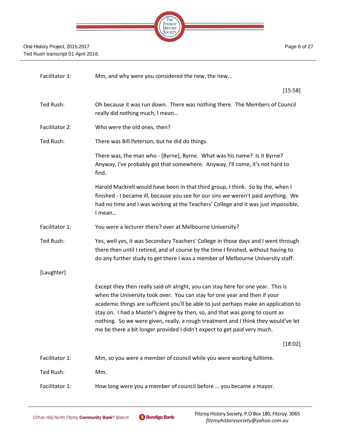

Page 6 of 27

| Facilitator 1:        | Mm, and why were you considered the new, the new                                                                                                                                                                                                                                                                                                                                                                                                                                                        |
|-----------------------|---------------------------------------------------------------------------------------------------------------------------------------------------------------------------------------------------------------------------------------------------------------------------------------------------------------------------------------------------------------------------------------------------------------------------------------------------------------------------------------------------------|
|                       | [15:58]                                                                                                                                                                                                                                                                                                                                                                                                                                                                                                 |
| Ted Rush:             | Oh because it was run down. There was nothing there. The Members of Council<br>really did nothing much, I mean                                                                                                                                                                                                                                                                                                                                                                                          |
| <b>Facilitator 2:</b> | Who were the old ones, then?                                                                                                                                                                                                                                                                                                                                                                                                                                                                            |
| Ted Rush:             | There was Bill Peterson, but he did do things.                                                                                                                                                                                                                                                                                                                                                                                                                                                          |
|                       | There was, the man who - [Byrne], Byrne. What was his name? Is it Byrne?<br>Anyway, I've probably got that somewhere. Anyway, I'll come, it's not hard to<br>find.                                                                                                                                                                                                                                                                                                                                      |
|                       | Harold Mackrell would have been in that third group, I think. So by the, when I<br>finished - I became ill, because you see for our sins we weren't paid anything. We<br>had no time and I was working at the Teachers' College and it was just impossible,<br>I mean                                                                                                                                                                                                                                   |
| Facilitator 1:        | You were a lecturer there? over at Melbourne University?                                                                                                                                                                                                                                                                                                                                                                                                                                                |
| Ted Rush:             | Yes, well yes, it was Secondary Teachers' College in those days and I went through<br>there then until I retired, and of course by the time I finished, without having to<br>do any further study to get there I was a member of Melbourne University staff.                                                                                                                                                                                                                                            |
| [Laughter]            |                                                                                                                                                                                                                                                                                                                                                                                                                                                                                                         |
|                       | Except they then really said oh alright, you can stay here for one year. This is<br>when the University took over. You can stay for one year and then if your<br>academic things are sufficient you'll be able to just perhaps make an application to<br>stay on. I had a Master's degree by then, so, and that was going to count as<br>nothing. So we were given, really, a rough treatment and I think they would've let<br>me be there a bit longer provided I didn't expect to get paid very much. |
|                       | [18:02]                                                                                                                                                                                                                                                                                                                                                                                                                                                                                                 |
| Facilitator 1:        | Mm, so you were a member of council while you were working fulltime.                                                                                                                                                                                                                                                                                                                                                                                                                                    |
| Ted Rush:             | Mm.                                                                                                                                                                                                                                                                                                                                                                                                                                                                                                     |
| Facilitator 1:        | How long were you a member of council before  you became a mayor.                                                                                                                                                                                                                                                                                                                                                                                                                                       |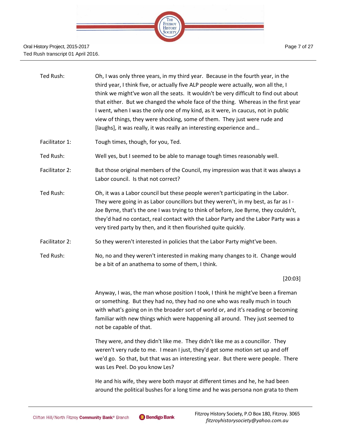

| Ted Rush: | Oh, I was only three years, in my third year. Because in the fourth year, in the     |
|-----------|--------------------------------------------------------------------------------------|
|           | third year, I think five, or actually five ALP people were actually, won all the, I  |
|           | think we might've won all the seats. It wouldn't be very difficult to find out about |
|           | that either. But we changed the whole face of the thing. Whereas in the first year   |
|           | I went, when I was the only one of my kind, as it were, in caucus, not in public     |
|           | view of things, they were shocking, some of them. They just were rude and            |
|           | [laughs], it was really, it was really an interesting experience and                 |
|           |                                                                                      |

Facilitator 1: Tough times, though, for you, Ted.

Ted Rush: Well yes, but I seemed to be able to manage tough times reasonably well.

- Facilitator 2: But those original members of the Council, my impression was that it was always a Labor council. Is that not correct?
- Ted Rush: Oh, it was a Labor council but these people weren't participating in the Labor. They were going in as Labor councillors but they weren't, in my best, as far as I - Joe Byrne, that's the one I was trying to think of before, Joe Byrne, they couldn't, they'd had no contact, real contact with the Labor Party and the Labor Party was a very tired party by then, and it then flourished quite quickly.
- Facilitator 2: So they weren't interested in policies that the Labor Party might've been.
- Ted Rush: No, no and they weren't interested in making many changes to it. Change would be a bit of an anathema to some of them, I think.

[20:03]

Anyway, I was, the man whose position I took, I think he might've been a fireman or something. But they had no, they had no one who was really much in touch with what's going on in the broader sort of world or, and it's reading or becoming familiar with new things which were happening all around. They just seemed to not be capable of that.

They were, and they didn't like me. They didn't like me as a councillor. They weren't very rude to me. I mean I just, they'd get some motion set up and off we'd go. So that, but that was an interesting year. But there were people. There was Les Peel. Do you know Les?

He and his wife, they were both mayor at different times and he, he had been around the political bushes for a long time and he was persona non grata to them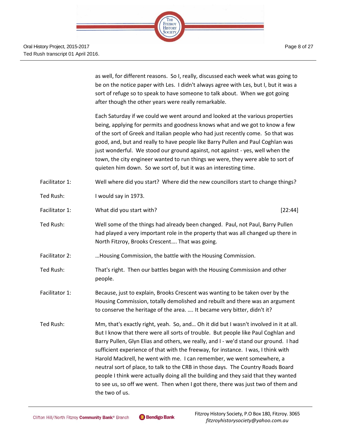

Page 8 of 27

as well, for different reasons. So I, really, discussed each week what was going to be on the notice paper with Les. I didn't always agree with Les, but I, but it was a sort of refuge so to speak to have someone to talk about. When we got going after though the other years were really remarkable.

Each Saturday if we could we went around and looked at the various properties being, applying for permits and goodness knows what and we got to know a few of the sort of Greek and Italian people who had just recently come. So that was good, and, but and really to have people like Barry Pullen and Paul Coghlan was just wonderful. We stood our ground against, not against - yes, well when the town, the city engineer wanted to run things we were, they were able to sort of quieten him down. So we sort of, but it was an interesting time.

- Facilitator 1: Well where did you start? Where did the new councillors start to change things?
- Ted Rush: I would say in 1973.
- Facilitator 1: **What did you start with? Example 2014 [22:44]** [22:44]
- Ted Rush: Well some of the things had already been changed. Paul, not Paul, Barry Pullen had played a very important role in the property that was all changed up there in North Fitzroy, Brooks Crescent…. That was going.
- Facilitator 2: …Housing Commission, the battle with the Housing Commission.
- Ted Rush: That's right. Then our battles began with the Housing Commission and other people.
- Facilitator 1: Because, just to explain, Brooks Crescent was wanting to be taken over by the Housing Commission, totally demolished and rebuilt and there was an argument to conserve the heritage of the area. …. It became very bitter, didn't it?
- Ted Rush: Mm, that's exactly right, yeah. So, and… Oh it did but I wasn't involved in it at all. But I know that there were all sorts of trouble. But people like Paul Coghlan and Barry Pullen, Glyn Elias and others, we really, and I - we'd stand our ground. I had sufficient experience of that with the freeway, for instance. I was, I think with Harold Mackrell, he went with me. I can remember, we went somewhere, a neutral sort of place, to talk to the CRB in those days. The Country Roads Board people I think were actually doing all the building and they said that they wanted to see us, so off we went. Then when I got there, there was just two of them and the two of us.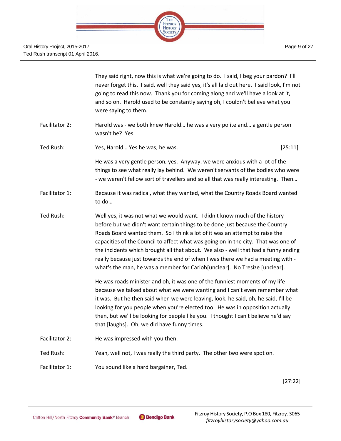

|                | They said right, now this is what we're going to do. I said, I beg your pardon? I'll<br>never forget this. I said, well they said yes, it's all laid out here. I said look, I'm not<br>going to read this now. Thank you for coming along and we'll have a look at it,<br>and so on. Harold used to be constantly saying oh, I couldn't believe what you<br>were saying to them.                                                                                                                                                                                                       |         |
|----------------|----------------------------------------------------------------------------------------------------------------------------------------------------------------------------------------------------------------------------------------------------------------------------------------------------------------------------------------------------------------------------------------------------------------------------------------------------------------------------------------------------------------------------------------------------------------------------------------|---------|
| Facilitator 2: | Harold was - we both knew Harold he was a very polite and a gentle person<br>wasn't he? Yes.                                                                                                                                                                                                                                                                                                                                                                                                                                                                                           |         |
| Ted Rush:      | Yes, Harold Yes he was, he was.                                                                                                                                                                                                                                                                                                                                                                                                                                                                                                                                                        | [25:11] |
|                | He was a very gentle person, yes. Anyway, we were anxious with a lot of the<br>things to see what really lay behind. We weren't servants of the bodies who were<br>- we weren't fellow sort of travellers and so all that was really interesting. Then                                                                                                                                                                                                                                                                                                                                 |         |
| Facilitator 1: | Because it was radical, what they wanted, what the Country Roads Board wanted<br>to do                                                                                                                                                                                                                                                                                                                                                                                                                                                                                                 |         |
| Ted Rush:      | Well yes, it was not what we would want. I didn't know much of the history<br>before but we didn't want certain things to be done just because the Country<br>Roads Board wanted them. So I think a lot of it was an attempt to raise the<br>capacities of the Council to affect what was going on in the city. That was one of<br>the incidents which brought all that about. We also - well that had a funny ending<br>really because just towards the end of when I was there we had a meeting with -<br>what's the man, he was a member for Carioh[unclear]. No Tresize [unclear]. |         |
|                | He was roads minister and oh, it was one of the funniest moments of my life<br>because we talked about what we were wanting and I can't even remember what<br>it was. But he then said when we were leaving, look, he said, oh, he said, I'll be<br>looking for you people when you're elected too. He was in opposition actually<br>then, but we'll be looking for people like you. I thought I can't believe he'd say<br>that [laughs]. Oh, we did have funny times.                                                                                                                 |         |
| Facilitator 2: | He was impressed with you then.                                                                                                                                                                                                                                                                                                                                                                                                                                                                                                                                                        |         |
| Ted Rush:      | Yeah, well not, I was really the third party. The other two were spot on.                                                                                                                                                                                                                                                                                                                                                                                                                                                                                                              |         |
| Facilitator 1: | You sound like a hard bargainer, Ted.                                                                                                                                                                                                                                                                                                                                                                                                                                                                                                                                                  |         |

[27:22]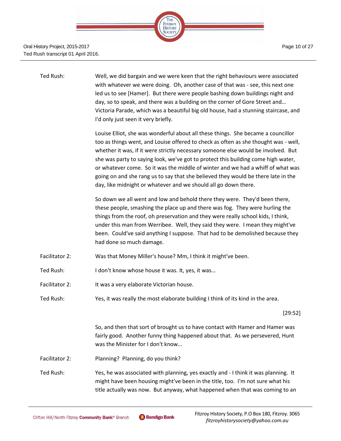

| Ted Rush:      | Well, we did bargain and we were keen that the right behaviours were associated<br>with whatever we were doing. Oh, another case of that was - see, this next one<br>led us to see [Hamer]. But there were people bashing down buildings night and<br>day, so to speak, and there was a building on the corner of Gore Street and<br>Victoria Parade, which was a beautiful big old house, had a stunning staircase, and<br>I'd only just seen it very briefly.                                                                                                                              |
|----------------|----------------------------------------------------------------------------------------------------------------------------------------------------------------------------------------------------------------------------------------------------------------------------------------------------------------------------------------------------------------------------------------------------------------------------------------------------------------------------------------------------------------------------------------------------------------------------------------------|
|                | Louise Elliot, she was wonderful about all these things. She became a councillor<br>too as things went, and Louise offered to check as often as she thought was - well,<br>whether it was, if it were strictly necessary someone else would be involved. But<br>she was party to saying look, we've got to protect this building come high water,<br>or whatever come. So it was the middle of winter and we had a whiff of what was<br>going on and she rang us to say that she believed they would be there late in the<br>day, like midnight or whatever and we should all go down there. |
|                | So down we all went and low and behold there they were. They'd been there,<br>these people, smashing the place up and there was fog. They were hurling the<br>things from the roof, oh preservation and they were really school kids, I think,<br>under this man from Werribee. Well, they said they were. I mean they might've<br>been. Could've said anything I suppose. That had to be demolished because they<br>had done so much damage.                                                                                                                                                |
| Facilitator 2: | Was that Money Miller's house? Mm, I think it might've been.                                                                                                                                                                                                                                                                                                                                                                                                                                                                                                                                 |
| Ted Rush:      | I don't know whose house it was. It, yes, it was                                                                                                                                                                                                                                                                                                                                                                                                                                                                                                                                             |
| Facilitator 2: | It was a very elaborate Victorian house.                                                                                                                                                                                                                                                                                                                                                                                                                                                                                                                                                     |
| Ted Rush:      | Yes, it was really the most elaborate building I think of its kind in the area.                                                                                                                                                                                                                                                                                                                                                                                                                                                                                                              |
|                | [29:52]                                                                                                                                                                                                                                                                                                                                                                                                                                                                                                                                                                                      |
|                | So, and then that sort of brought us to have contact with Hamer and Hamer was<br>fairly good. Another funny thing happened about that. As we persevered, Hunt<br>was the Minister for I don't know                                                                                                                                                                                                                                                                                                                                                                                           |
| Facilitator 2: | Planning? Planning, do you think?                                                                                                                                                                                                                                                                                                                                                                                                                                                                                                                                                            |
| Ted Rush:      | Yes, he was associated with planning, yes exactly and - I think it was planning. It<br>might have been housing might've been in the title, too. I'm not sure what his<br>title actually was now. But anyway, what happened when that was coming to an                                                                                                                                                                                                                                                                                                                                        |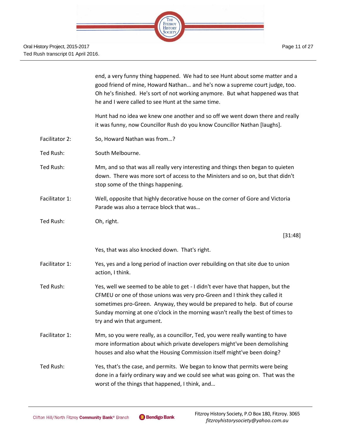

|                | end, a very funny thing happened. We had to see Hunt about some matter and a<br>good friend of mine, Howard Nathan and he's now a supreme court judge, too.<br>Oh he's finished. He's sort of not working anymore. But what happened was that<br>he and I were called to see Hunt at the same time.                                                          |
|----------------|--------------------------------------------------------------------------------------------------------------------------------------------------------------------------------------------------------------------------------------------------------------------------------------------------------------------------------------------------------------|
|                | Hunt had no idea we knew one another and so off we went down there and really<br>it was funny, now Councillor Rush do you know Councillor Nathan [laughs].                                                                                                                                                                                                   |
| Facilitator 2: | So, Howard Nathan was from?                                                                                                                                                                                                                                                                                                                                  |
| Ted Rush:      | South Melbourne.                                                                                                                                                                                                                                                                                                                                             |
| Ted Rush:      | Mm, and so that was all really very interesting and things then began to quieten<br>down. There was more sort of access to the Ministers and so on, but that didn't<br>stop some of the things happening.                                                                                                                                                    |
| Facilitator 1: | Well, opposite that highly decorative house on the corner of Gore and Victoria<br>Parade was also a terrace block that was                                                                                                                                                                                                                                   |
| Ted Rush:      | Oh, right.                                                                                                                                                                                                                                                                                                                                                   |
|                | [31:48]                                                                                                                                                                                                                                                                                                                                                      |
|                | Yes, that was also knocked down. That's right.                                                                                                                                                                                                                                                                                                               |
| Facilitator 1: | Yes, yes and a long period of inaction over rebuilding on that site due to union<br>action, I think.                                                                                                                                                                                                                                                         |
| Ted Rush:      | Yes, well we seemed to be able to get - I didn't ever have that happen, but the<br>CFMEU or one of those unions was very pro-Green and I think they called it<br>sometimes pro-Green. Anyway, they would be prepared to help. But of course<br>Sunday morning at one o'clock in the morning wasn't really the best of times to<br>try and win that argument. |
| Facilitator 1: | Mm, so you were really, as a councillor, Ted, you were really wanting to have<br>more information about which private developers might've been demolishing<br>houses and also what the Housing Commission itself might've been doing?                                                                                                                        |
| Ted Rush:      | Yes, that's the case, and permits. We began to know that permits were being<br>done in a fairly ordinary way and we could see what was going on. That was the<br>worst of the things that happened, I think, and                                                                                                                                             |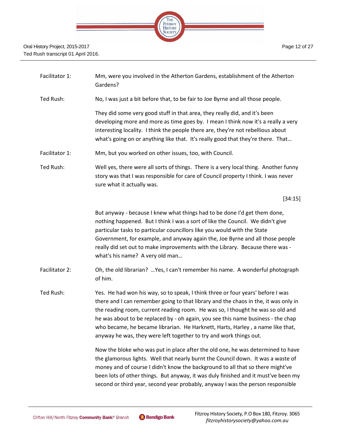

- Facilitator 1: Mm, were you involved in the Atherton Gardens, establishment of the Atherton Gardens?
- Ted Rush: No, I was just a bit before that, to be fair to Joe Byrne and all those people.

They did some very good stuff in that area, they really did, and it's been developing more and more as time goes by. I mean I think now it's a really a very interesting locality. I think the people there are, they're not rebellious about what's going on or anything like that. It's really good that they're there. That...

- Facilitator 1: Mm, but you worked on other issues, too, with Council.
- Ted Rush: Well yes, there were all sorts of things. There is a very local thing. Another funny story was that I was responsible for care of Council property I think. I was never sure what it actually was.

[34:15]

But anyway - because I knew what things had to be done I'd get them done, nothing happened. But I think I was a sort of like the Council. We didn't give particular tasks to particular councillors like you would with the State Government, for example, and anyway again the, Joe Byrne and all those people really did set out to make improvements with the Library. Because there was what's his name? A very old man…

- Facilitator 2: Oh, the old librarian? …Yes, I can't remember his name. A wonderful photograph of him.
- Ted Rush: Yes. He had won his way, so to speak, I think three or four years' before I was there and I can remember going to that library and the chaos in the, it was only in the reading room, current reading room. He was so, I thought he was so old and he was about to be replaced by - oh again, you see this name business - the chap who became, he became librarian. He Harknett, Harts, Harley , a name like that, anyway he was, they were left together to try and work things out.

Now the bloke who was put in place after the old one, he was determined to have the glamorous lights. Well that nearly burnt the Council down. It was a waste of money and of course I didn't know the background to all that so there might've been lots of other things. But anyway, it was duly finished and it must've been my second or third year, second year probably, anyway I was the person responsible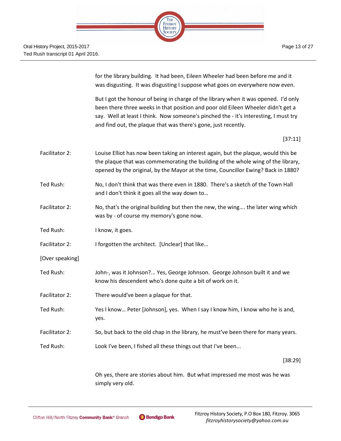for the library building. It had been, Eileen Wheeler had been before me and it was disgusting. It was disgusting I suppose what goes on everywhere now even.

But I got the honour of being in charge of the library when it was opened. I'd only been there three weeks in that position and poor old Eileen Wheeler didn't get a say. Well at least I think. Now someone's pinched the - it's interesting, I must try and find out, the plaque that was there's gone, just recently.

[37:11]

| Facilitator 2:  | Louise Elliot has now been taking an interest again, but the plaque, would this be<br>the plaque that was commemorating the building of the whole wing of the library,<br>opened by the original, by the Mayor at the time, Councillor Ewing? Back in 1880? |
|-----------------|-------------------------------------------------------------------------------------------------------------------------------------------------------------------------------------------------------------------------------------------------------------|
| Ted Rush:       | No, I don't think that was there even in 1880. There's a sketch of the Town Hall<br>and I don't think it goes all the way down to                                                                                                                           |
| Facilitator 2:  | No, that's the original building but then the new, the wing the later wing which<br>was by - of course my memory's gone now.                                                                                                                                |
| Ted Rush:       | I know, it goes.                                                                                                                                                                                                                                            |
| Facilitator 2:  | I forgotten the architect. [Unclear] that like                                                                                                                                                                                                              |
| [Over speaking] |                                                                                                                                                                                                                                                             |
| Ted Rush:       | John-, was it Johnson? Yes, George Johnson. George Johnson built it and we<br>know his descendent who's done quite a bit of work on it.                                                                                                                     |
| Facilitator 2:  | There would've been a plaque for that.                                                                                                                                                                                                                      |
| Ted Rush:       | Yes I know Peter [Johnson], yes. When I say I know him, I know who he is and,<br>yes.                                                                                                                                                                       |
| Facilitator 2:  | So, but back to the old chap in the library, he must've been there for many years.                                                                                                                                                                          |
| Ted Rush:       | Look I've been, I fished all these things out that I've been                                                                                                                                                                                                |
|                 | [38:29]                                                                                                                                                                                                                                                     |

Oh yes, there are stories about him. But what impressed me most was he was simply very old.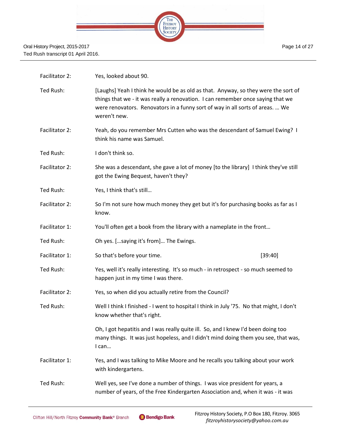

| Facilitator 2: | Yes, looked about 90.                                                                                                                                                                                                                                                  |
|----------------|------------------------------------------------------------------------------------------------------------------------------------------------------------------------------------------------------------------------------------------------------------------------|
| Ted Rush:      | [Laughs] Yeah I think he would be as old as that. Anyway, so they were the sort of<br>things that we - it was really a renovation. I can remember once saying that we<br>were renovators. Renovators in a funny sort of way in all sorts of areas.  We<br>weren't new. |
| Facilitator 2: | Yeah, do you remember Mrs Cutten who was the descendant of Samuel Ewing? I<br>think his name was Samuel.                                                                                                                                                               |
| Ted Rush:      | I don't think so.                                                                                                                                                                                                                                                      |
| Facilitator 2: | She was a descendant, she gave a lot of money [to the library] I think they've still<br>got the Ewing Bequest, haven't they?                                                                                                                                           |
| Ted Rush:      | Yes, I think that's still                                                                                                                                                                                                                                              |
| Facilitator 2: | So I'm not sure how much money they get but it's for purchasing books as far as I<br>know.                                                                                                                                                                             |
| Facilitator 1: | You'll often get a book from the library with a nameplate in the front                                                                                                                                                                                                 |
| Ted Rush:      | Oh yes. [saying it's from] The Ewings.                                                                                                                                                                                                                                 |
| Facilitator 1: | So that's before your time.<br>[39:40]                                                                                                                                                                                                                                 |
| Ted Rush:      | Yes, well it's really interesting. It's so much - in retrospect - so much seemed to<br>happen just in my time I was there.                                                                                                                                             |
| Facilitator 2: | Yes, so when did you actually retire from the Council?                                                                                                                                                                                                                 |
| Ted Rush:      | Well I think I finished - I went to hospital I think in July '75. No that might, I don't<br>know whether that's right.                                                                                                                                                 |
|                | Oh, I got hepatitis and I was really quite ill. So, and I knew I'd been doing too<br>many things. It was just hopeless, and I didn't mind doing them you see, that was,<br>I can                                                                                       |
| Facilitator 1: | Yes, and I was talking to Mike Moore and he recalls you talking about your work<br>with kindergartens.                                                                                                                                                                 |
| Ted Rush:      | Well yes, see I've done a number of things. I was vice president for years, a<br>number of years, of the Free Kindergarten Association and, when it was - it was                                                                                                       |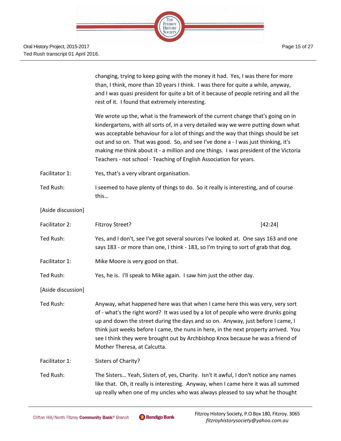

|                    | changing, trying to keep going with the money it had. Yes, I was there for more<br>than, I think, more than 10 years I think. I was there for quite a while, anyway,<br>and I was quasi president for quite a bit of it because of people retiring and all the<br>rest of it. I found that extremely interesting.                                                                                                                                                                                              |  |
|--------------------|----------------------------------------------------------------------------------------------------------------------------------------------------------------------------------------------------------------------------------------------------------------------------------------------------------------------------------------------------------------------------------------------------------------------------------------------------------------------------------------------------------------|--|
|                    | We wrote up the, what is the framework of the current change that's going on in<br>kindergartens, with all sorts of, in a very detailed way we were putting down what<br>was acceptable behaviour for a lot of things and the way that things should be set<br>out and so on. That was good. So, and see I've done a - I was just thinking, it's<br>making me think about it - a million and one things. I was president of the Victoria<br>Teachers - not school - Teaching of English Association for years. |  |
| Facilitator 1:     | Yes, that's a very vibrant organisation.                                                                                                                                                                                                                                                                                                                                                                                                                                                                       |  |
| Ted Rush:          | I seemed to have plenty of things to do. So it really is interesting, and of course<br>this                                                                                                                                                                                                                                                                                                                                                                                                                    |  |
| [Aside discussion] |                                                                                                                                                                                                                                                                                                                                                                                                                                                                                                                |  |
| Facilitator 2:     | <b>Fitzroy Street?</b><br>[42:24]                                                                                                                                                                                                                                                                                                                                                                                                                                                                              |  |
| Ted Rush:          | Yes, and I don't, see I've got several sources I've looked at. One says 163 and one<br>says 183 - or more than one, I think - 183, so I'm trying to sort of grab that dog.                                                                                                                                                                                                                                                                                                                                     |  |
| Facilitator 1:     | Mike Moore is very good on that.                                                                                                                                                                                                                                                                                                                                                                                                                                                                               |  |
| Ted Rush:          | Yes, he is. I'll speak to Mike again. I saw him just the other day.                                                                                                                                                                                                                                                                                                                                                                                                                                            |  |
| [Aside discussion] |                                                                                                                                                                                                                                                                                                                                                                                                                                                                                                                |  |
| Ted Rush:          | Anyway, what happened here was that when I came here this was very, very sort<br>of - what's the right word? It was used by a lot of people who were drunks going<br>up and down the street during the days and so on. Anyway, just before I came, I<br>think just weeks before I came, the nuns in here, in the next property arrived. You<br>see I think they were brought out by Archbishop Knox because he was a friend of<br>Mother Theresa, at Calcutta.                                                 |  |
| Facilitator 1:     | Sisters of Charity?                                                                                                                                                                                                                                                                                                                                                                                                                                                                                            |  |
| Ted Rush:          | The Sisters Yeah, Sisters of, yes, Charity. Isn't it awful, I don't notice any names<br>like that. Oh, it really is interesting. Anyway, when I came here it was all summed<br>up really when one of my uncles who was always pleased to say what he thought                                                                                                                                                                                                                                                   |  |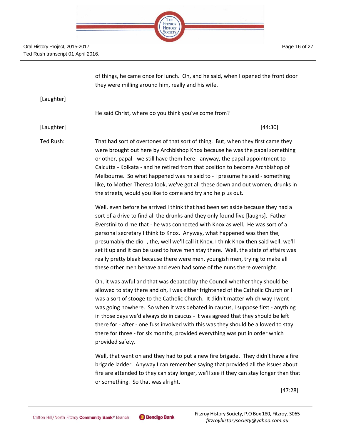

[Laughter]

they were milling around him, really and his wife. He said Christ, where do you think you've come from? [Laughter] [44:30]

of things, he came once for lunch. Oh, and he said, when I opened the front door

Ted Rush: That had sort of overtones of that sort of thing. But, when they first came they were brought out here by Archbishop Knox because he was the papal something or other, papal - we still have them here - anyway, the papal appointment to Calcutta - Kolkata - and he retired from that position to become Archbishop of Melbourne. So what happened was he said to - I presume he said - something like, to Mother Theresa look, we've got all these down and out women, drunks in the streets, would you like to come and try and help us out.

> Well, even before he arrived I think that had been set aside because they had a sort of a drive to find all the drunks and they only found five [laughs]. Father Everstini told me that - he was connected with Knox as well. He was sort of a personal secretary I think to Knox. Anyway, what happened was then the, presumably the dio -, the, well we'll call it Knox, I think Knox then said well, we'll set it up and it can be used to have men stay there. Well, the state of affairs was really pretty bleak because there were men, youngish men, trying to make all these other men behave and even had some of the nuns there overnight.

> Oh, it was awful and that was debated by the Council whether they should be allowed to stay there and oh, I was either frightened of the Catholic Church or I was a sort of stooge to the Catholic Church. It didn't matter which way I went I was going nowhere. So when it was debated in caucus, I suppose first - anything in those days we'd always do in caucus - it was agreed that they should be left there for - after - one fuss involved with this was they should be allowed to stay there for three - for six months, provided everything was put in order which provided safety.

Well, that went on and they had to put a new fire brigade. They didn't have a fire brigade ladder. Anyway I can remember saying that provided all the issues about fire are attended to they can stay longer, we'll see if they can stay longer than that or something. So that was alright.

[47:28]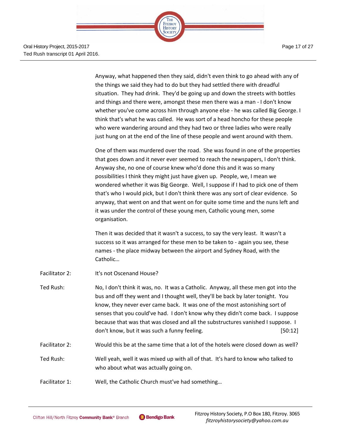> Anyway, what happened then they said, didn't even think to go ahead with any of the things we said they had to do but they had settled there with dreadful situation. They had drink. They'd be going up and down the streets with bottles and things and there were, amongst these men there was a man - I don't know whether you've come across him through anyone else - he was called Big George. I think that's what he was called. He was sort of a head honcho for these people who were wandering around and they had two or three ladies who were really just hung on at the end of the line of these people and went around with them.

> One of them was murdered over the road. She was found in one of the properties that goes down and it never ever seemed to reach the newspapers, I don't think. Anyway she, no one of course knew who'd done this and it was so many possibilities I think they might just have given up. People, we, I mean we wondered whether it was Big George. Well, I suppose if I had to pick one of them that's who I would pick, but I don't think there was any sort of clear evidence. So anyway, that went on and that went on for quite some time and the nuns left and it was under the control of these young men, Catholic young men, some organisation.

Then it was decided that it wasn't a success, to say the very least. It wasn't a success so it was arranged for these men to be taken to - again you see, these names - the place midway between the airport and Sydney Road, with the Catholic…

- Facilitator 2: It's not Oscenand House?
- Ted Rush: No, I don't think it was, no. It was a Catholic. Anyway, all these men got into the bus and off they went and I thought well, they'll be back by later tonight. You know, they never ever came back. It was one of the most astonishing sort of senses that you could've had. I don't know why they didn't come back. I suppose because that was that was closed and all the substructures vanished I suppose. I don't know, but it was such a funny feeling. The same state of the state of the state of the state of the state of the state of the state of the state of the state of the state of the state of the state of the state of the
- Facilitator 2: Would this be at the same time that a lot of the hotels were closed down as well?
- Ted Rush: Well yeah, well it was mixed up with all of that. It's hard to know who talked to who about what was actually going on.
- Facilitator 1: Well, the Catholic Church must've had something...

Page 17 of 27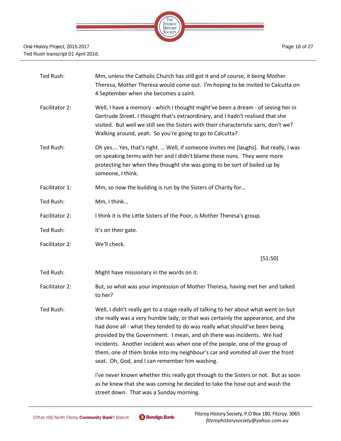

| Ted Rush:      | Mm, unless the Catholic Church has still got it and of course, it being Mother<br>Theresa, Mother Theresa would come out. I'm hoping to be invited to Calcutta on<br>4 September when she becomes a saint.                                                                                                                                                                                                                                                                                                                                          |
|----------------|-----------------------------------------------------------------------------------------------------------------------------------------------------------------------------------------------------------------------------------------------------------------------------------------------------------------------------------------------------------------------------------------------------------------------------------------------------------------------------------------------------------------------------------------------------|
| Facilitator 2: | Well, I have a memory - which I thought might've been a dream - of seeing her in<br>Gertrude Street. I thought that's extraordinary, and I hadn't realised that she<br>visited. But well we still see the Sisters with their characteristic saris, don't we?<br>Walking around, yeah. So you're going to go to Calcutta?                                                                                                                                                                                                                            |
| Ted Rush:      | Oh yes Yes, that's right.  Well, if someone invites me [laughs]. But really, I was<br>on speaking terms with her and I didn't blame these nuns. They were more<br>protecting her when they thought she was going to be sort of bailed up by<br>someone, I think.                                                                                                                                                                                                                                                                                    |
| Facilitator 1: | Mm, so now the building is run by the Sisters of Charity for                                                                                                                                                                                                                                                                                                                                                                                                                                                                                        |
| Ted Rush:      | Mm, I think                                                                                                                                                                                                                                                                                                                                                                                                                                                                                                                                         |
| Facilitator 2: | I think it is the Little Sisters of the Poor, is Mother Theresa's group.                                                                                                                                                                                                                                                                                                                                                                                                                                                                            |
| Ted Rush:      | It's on their gate.                                                                                                                                                                                                                                                                                                                                                                                                                                                                                                                                 |
| Facilitator 2: | We'll check.                                                                                                                                                                                                                                                                                                                                                                                                                                                                                                                                        |
|                | [51:50]                                                                                                                                                                                                                                                                                                                                                                                                                                                                                                                                             |
| Ted Rush:      | Might have missionary in the words on it.                                                                                                                                                                                                                                                                                                                                                                                                                                                                                                           |
| Facilitator 2: | But, so what was your impression of Mother Theresa, having met her and talked<br>to her?                                                                                                                                                                                                                                                                                                                                                                                                                                                            |
| Ted Rush:      | Well, I didn't really get to a stage really of talking to her about what went on but<br>she really was a very humble lady, or that was certainly the appearance, and she<br>had done all - what they tended to do was really what should've been being<br>provided by the Government. I mean, and oh there was incidents. We had<br>incidents. Another incident was when one of the people, one of the group of<br>them, one of them broke into my neighbour's car and vomited all over the front<br>seat. Oh, God, and I can remember him washing. |
|                | I've never known whether this really got through to the Sisters or not. But as soon<br>as he knew that she was coming he decided to take the hose out and wash the<br>street down. That was a Sunday morning.                                                                                                                                                                                                                                                                                                                                       |

Page 18 of 27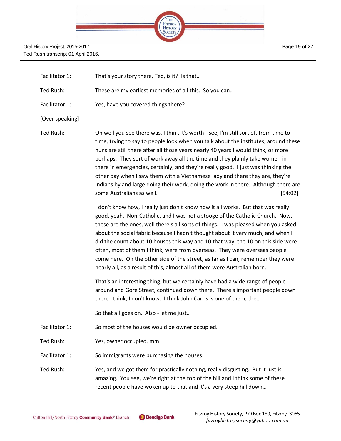

Facilitator 1: That's your story there, Ted, is it? Is that... Ted Rush: These are my earliest memories of all this. So you can… Facilitator 1: Yes, have you covered things there? [Over speaking] Ted Rush: Oh well you see there was, I think it's worth - see, I'm still sort of, from time to time, trying to say to people look when you talk about the institutes, around these nuns are still there after all those years nearly 40 years I would think, or more perhaps. They sort of work away all the time and they plainly take women in there in emergencies, certainly, and they're really good. I just was thinking the other day when I saw them with a Vietnamese lady and there they are, they're Indians by and large doing their work, doing the work in there. Although there are some Australians as well. [54:02] I don't know how, I really just don't know how it all works. But that was really good, yeah. Non-Catholic, and I was not a stooge of the Catholic Church. Now, these are the ones, well there's all sorts of things. I was pleased when you asked about the social fabric because I hadn't thought about it very much, and when I did the count about 10 houses this way and 10 that way, the 10 on this side were often, most of them I think, were from overseas. They were overseas people come here. On the other side of the street, as far as I can, remember they were nearly all, as a result of this, almost all of them were Australian born. That's an interesting thing, but we certainly have had a wide range of people around and Gore Street, continued down there. There's important people down there I think, I don't know. I think John Carr's is one of them, the… So that all goes on. Also - let me just… Facilitator 1: So most of the houses would be owner occupied. Ted Rush: Yes, owner occupied, mm. Facilitator 1: So immigrants were purchasing the houses. Ted Rush: Yes, and we got them for practically nothing, really disgusting. But it just is amazing. You see, we're right at the top of the hill and I think some of these recent people have woken up to that and it's a very steep hill down…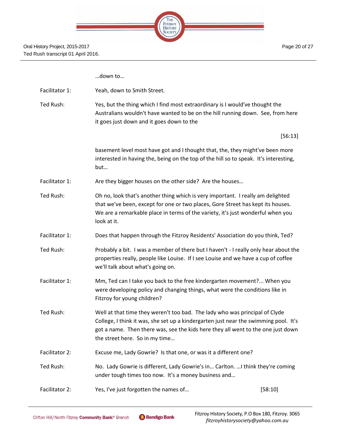| <b>HE</b>      |  |
|----------------|--|
| <b>FITZROY</b> |  |
| <b>HISTORY</b> |  |
|                |  |
|                |  |

| Facilitator 1: | Yeah, down to Smith Street. |
|----------------|-----------------------------|
|----------------|-----------------------------|

Ted Rush: Yes, but the thing which I find most extraordinary is I would've thought the Australians wouldn't have wanted to be on the hill running down. See, from here it goes just down and it goes down to the

[56:13]

basement level most have got and I thought that, the, they might've been more interested in having the, being on the top of the hill so to speak. It's interesting, but…

- Facilitator 1: Are they bigger houses on the other side? Are the houses...
- Ted Rush: Oh no, look that's another thing which is very important. I really am delighted that we've been, except for one or two places, Gore Street has kept its houses. We are a remarkable place in terms of the variety, it's just wonderful when you look at it.
- Facilitator 1: Does that happen through the Fitzroy Residents' Association do you think, Ted?
- Ted Rush: Probably a bit. I was a member of there but I haven't I really only hear about the properties really, people like Louise. If I see Louise and we have a cup of coffee we'll talk about what's going on.
- Facilitator 1: Mm, Ted can I take you back to the free kindergarten movement?... When you were developing policy and changing things, what were the conditions like in Fitzroy for young children?
- Ted Rush: Well at that time they weren't too bad. The lady who was principal of Clyde College, I think it was, she set up a kindergarten just near the swimming pool. It's got a name. Then there was, see the kids here they all went to the one just down the street here. So in my time…
- Facilitator 2: Excuse me, Lady Gowrie? Is that one, or was it a different one?
- Ted Rush: No. Lady Gowrie is different, Lady Gowrie's in… Carlton. …I think they're coming under tough times too now. It's a money business and…
- Facilitator 2: Yes, I've just forgotten the names of... [58:10]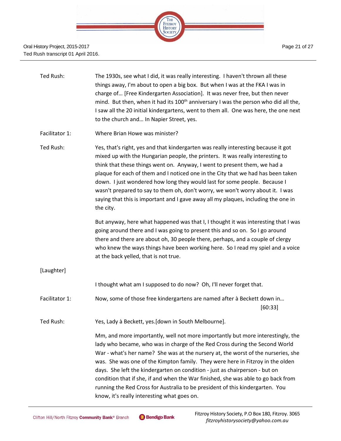

| Ted Rush:      | The 1930s, see what I did, it was really interesting. I haven't thrown all these<br>things away, I'm about to open a big box. But when I was at the FKA I was in<br>charge of [Free Kindergarten Association]. It was never free, but then never<br>mind. But then, when it had its 100 <sup>th</sup> anniversary I was the person who did all the,<br>I saw all the 20 initial kindergartens, went to them all. One was here, the one next<br>to the church and In Napier Street, yes.                                                                                                                                                   |
|----------------|-------------------------------------------------------------------------------------------------------------------------------------------------------------------------------------------------------------------------------------------------------------------------------------------------------------------------------------------------------------------------------------------------------------------------------------------------------------------------------------------------------------------------------------------------------------------------------------------------------------------------------------------|
| Facilitator 1: | Where Brian Howe was minister?                                                                                                                                                                                                                                                                                                                                                                                                                                                                                                                                                                                                            |
| Ted Rush:      | Yes, that's right, yes and that kindergarten was really interesting because it got<br>mixed up with the Hungarian people, the printers. It was really interesting to<br>think that these things went on. Anyway, I went to present them, we had a<br>plaque for each of them and I noticed one in the City that we had has been taken<br>down. I just wondered how long they would last for some people. Because I<br>wasn't prepared to say to them oh, don't worry, we won't worry about it. I was<br>saying that this is important and I gave away all my plaques, including the one in<br>the city.                                   |
|                | But anyway, here what happened was that I, I thought it was interesting that I was<br>going around there and I was going to present this and so on. So I go around<br>there and there are about oh, 30 people there, perhaps, and a couple of clergy<br>who knew the ways things have been working here. So I read my spiel and a voice<br>at the back yelled, that is not true.                                                                                                                                                                                                                                                          |
| [Laughter]     |                                                                                                                                                                                                                                                                                                                                                                                                                                                                                                                                                                                                                                           |
|                | I thought what am I supposed to do now? Oh, I'll never forget that.                                                                                                                                                                                                                                                                                                                                                                                                                                                                                                                                                                       |
| Facilitator 1: | Now, some of those free kindergartens are named after à Beckett down in<br>[60:33]                                                                                                                                                                                                                                                                                                                                                                                                                                                                                                                                                        |
| Ted Rush:      | Yes, Lady à Beckett, yes. [down in South Melbourne].                                                                                                                                                                                                                                                                                                                                                                                                                                                                                                                                                                                      |
|                | Mm, and more importantly, well not more importantly but more interestingly, the<br>lady who became, who was in charge of the Red Cross during the Second World<br>War - what's her name? She was at the nursery at, the worst of the nurseries, she<br>was. She was one of the Kimpton family. They were here in Fitzroy in the olden<br>days. She left the kindergarten on condition - just as chairperson - but on<br>condition that if she, if and when the War finished, she was able to go back from<br>running the Red Cross for Australia to be president of this kindergarten. You<br>know, it's really interesting what goes on. |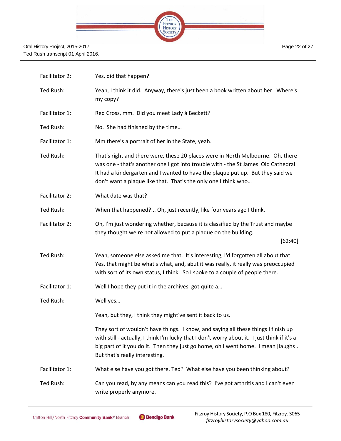

| Facilitator 2: | Yes, did that happen?                                                                                                                                                                                                                                                                                                      |
|----------------|----------------------------------------------------------------------------------------------------------------------------------------------------------------------------------------------------------------------------------------------------------------------------------------------------------------------------|
| Ted Rush:      | Yeah, I think it did. Anyway, there's just been a book written about her. Where's<br>my copy?                                                                                                                                                                                                                              |
| Facilitator 1: | Red Cross, mm. Did you meet Lady à Beckett?                                                                                                                                                                                                                                                                                |
| Ted Rush:      | No. She had finished by the time                                                                                                                                                                                                                                                                                           |
| Facilitator 1: | Mm there's a portrait of her in the State, yeah.                                                                                                                                                                                                                                                                           |
| Ted Rush:      | That's right and there were, these 20 places were in North Melbourne. Oh, there<br>was one - that's another one I got into trouble with - the St James' Old Cathedral.<br>It had a kindergarten and I wanted to have the plaque put up. But they said we<br>don't want a plaque like that. That's the only one I think who |
| Facilitator 2: | What date was that?                                                                                                                                                                                                                                                                                                        |
| Ted Rush:      | When that happened? Oh, just recently, like four years ago I think.                                                                                                                                                                                                                                                        |
| Facilitator 2: | Oh, I'm just wondering whether, because it is classified by the Trust and maybe<br>they thought we're not allowed to put a plaque on the building.                                                                                                                                                                         |
|                | [62:40]                                                                                                                                                                                                                                                                                                                    |
| Ted Rush:      | Yeah, someone else asked me that. It's interesting, I'd forgotten all about that.<br>Yes, that might be what's what, and, abut it was really, it really was preoccupied<br>with sort of its own status, I think. So I spoke to a couple of people there.                                                                   |
| Facilitator 1: | Well I hope they put it in the archives, got quite a                                                                                                                                                                                                                                                                       |
| Ted Rush:      | Well yes                                                                                                                                                                                                                                                                                                                   |
|                | Yeah, but they, I think they might've sent it back to us.                                                                                                                                                                                                                                                                  |
|                | They sort of wouldn't have things. I know, and saying all these things I finish up<br>with still - actually, I think I'm lucky that I don't worry about it. I just think if it's a<br>big part of it you do it. Then they just go home, oh I went home. I mean [laughs].<br>But that's really interesting.                 |
| Facilitator 1: | What else have you got there, Ted? What else have you been thinking about?                                                                                                                                                                                                                                                 |
| Ted Rush:      | Can you read, by any means can you read this? I've got arthritis and I can't even<br>write properly anymore.                                                                                                                                                                                                               |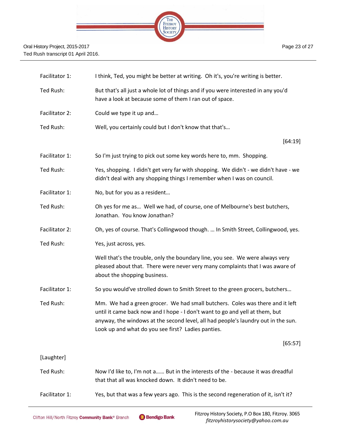

| Facilitator 1: | I think, Ted, you might be better at writing. Oh it's, you're writing is better.                                                                                                                                                                                                                         |
|----------------|----------------------------------------------------------------------------------------------------------------------------------------------------------------------------------------------------------------------------------------------------------------------------------------------------------|
| Ted Rush:      | But that's all just a whole lot of things and if you were interested in any you'd<br>have a look at because some of them I ran out of space.                                                                                                                                                             |
| Facilitator 2: | Could we type it up and                                                                                                                                                                                                                                                                                  |
| Ted Rush:      | Well, you certainly could but I don't know that that's                                                                                                                                                                                                                                                   |
|                | [64:19]                                                                                                                                                                                                                                                                                                  |
| Facilitator 1: | So I'm just trying to pick out some key words here to, mm. Shopping.                                                                                                                                                                                                                                     |
| Ted Rush:      | Yes, shopping. I didn't get very far with shopping. We didn't - we didn't have - we<br>didn't deal with any shopping things I remember when I was on council.                                                                                                                                            |
| Facilitator 1: | No, but for you as a resident                                                                                                                                                                                                                                                                            |
| Ted Rush:      | Oh yes for me as Well we had, of course, one of Melbourne's best butchers,<br>Jonathan. You know Jonathan?                                                                                                                                                                                               |
| Facilitator 2: | Oh, yes of course. That's Collingwood though.  In Smith Street, Collingwood, yes.                                                                                                                                                                                                                        |
| Ted Rush:      | Yes, just across, yes.                                                                                                                                                                                                                                                                                   |
|                | Well that's the trouble, only the boundary line, you see. We were always very<br>pleased about that. There were never very many complaints that I was aware of<br>about the shopping business.                                                                                                           |
| Facilitator 1: | So you would've strolled down to Smith Street to the green grocers, butchers                                                                                                                                                                                                                             |
| Ted Rush:      | Mm. We had a green grocer. We had small butchers. Coles was there and it left<br>until it came back now and I hope - I don't want to go and yell at them, but<br>anyway, the windows at the second level, all had people's laundry out in the sun.<br>Look up and what do you see first? Ladies panties. |
|                | [65:57]                                                                                                                                                                                                                                                                                                  |
| [Laughter]     |                                                                                                                                                                                                                                                                                                          |
| Ted Rush:      | Now I'd like to, I'm not a But in the interests of the - because it was dreadful<br>that that all was knocked down. It didn't need to be.                                                                                                                                                                |
| Facilitator 1: | Yes, but that was a few years ago. This is the second regeneration of it, isn't it?                                                                                                                                                                                                                      |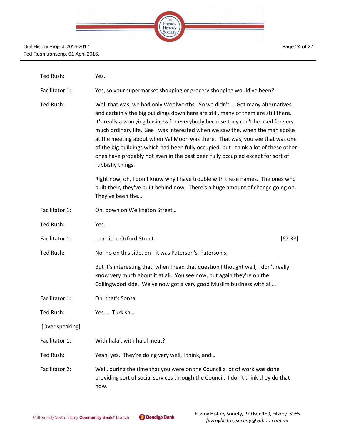| <b>FITZROY</b><br><b>HISTORY</b> |  |
|----------------------------------|--|
|                                  |  |
|                                  |  |

| Ted Rush:       | Yes.                                                                                                                                                                                                                                                                                                                                                                                                                                                                                                                                                                                                                 |
|-----------------|----------------------------------------------------------------------------------------------------------------------------------------------------------------------------------------------------------------------------------------------------------------------------------------------------------------------------------------------------------------------------------------------------------------------------------------------------------------------------------------------------------------------------------------------------------------------------------------------------------------------|
| Facilitator 1:  | Yes, so your supermarket shopping or grocery shopping would've been?                                                                                                                                                                                                                                                                                                                                                                                                                                                                                                                                                 |
| Ted Rush:       | Well that was, we had only Woolworths. So we didn't  Get many alternatives,<br>and certainly the big buildings down here are still, many of them are still there.<br>It's really a worrying business for everybody because they can't be used for very<br>much ordinary life. See I was interested when we saw the, when the man spoke<br>at the meeting about when Val Moon was there. That was, you see that was one<br>of the big buildings which had been fully occupied, but I think a lot of these other<br>ones have probably not even in the past been fully occupied except for sort of<br>rubbishy things. |
|                 | Right now, oh, I don't know why I have trouble with these names. The ones who<br>built their, they've built behind now. There's a huge amount of change going on.<br>They've been the                                                                                                                                                                                                                                                                                                                                                                                                                                |
| Facilitator 1:  | Oh, down on Wellington Street                                                                                                                                                                                                                                                                                                                                                                                                                                                                                                                                                                                        |
| Ted Rush:       | Yes.                                                                                                                                                                                                                                                                                                                                                                                                                                                                                                                                                                                                                 |
| Facilitator 1:  | or Little Oxford Street.<br>[67:38]                                                                                                                                                                                                                                                                                                                                                                                                                                                                                                                                                                                  |
| Ted Rush:       | No, no on this side, on - it was Paterson's, Paterson's.                                                                                                                                                                                                                                                                                                                                                                                                                                                                                                                                                             |
|                 | But it's interesting that, when I read that question I thought well, I don't really<br>know very much about it at all. You see now, but again they're on the<br>Collingwood side. We've now got a very good Muslim business with all                                                                                                                                                                                                                                                                                                                                                                                 |
| Facilitator 1:  | Oh, that's Sonsa.                                                                                                                                                                                                                                                                                                                                                                                                                                                                                                                                                                                                    |
| Ted Rush:       | Yes.  Turkish                                                                                                                                                                                                                                                                                                                                                                                                                                                                                                                                                                                                        |
| [Over speaking] |                                                                                                                                                                                                                                                                                                                                                                                                                                                                                                                                                                                                                      |
| Facilitator 1:  | With halal, with halal meat?                                                                                                                                                                                                                                                                                                                                                                                                                                                                                                                                                                                         |
| Ted Rush:       | Yeah, yes. They're doing very well, I think, and                                                                                                                                                                                                                                                                                                                                                                                                                                                                                                                                                                     |
| Facilitator 2:  | Well, during the time that you were on the Council a lot of work was done<br>providing sort of social services through the Council. I don't think they do that<br>now.                                                                                                                                                                                                                                                                                                                                                                                                                                               |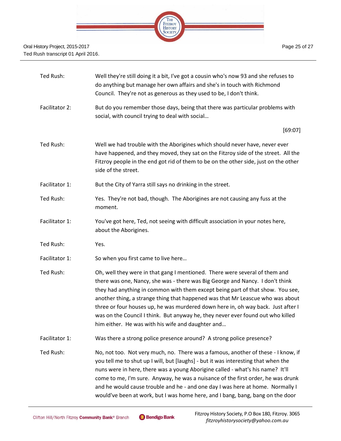

| Ted Rush:      | Well they're still doing it a bit, I've got a cousin who's now 93 and she refuses to<br>do anything but manage her own affairs and she's in touch with Richmond<br>Council. They're not as generous as they used to be, I don't think.                                                                                                                                                                                                                                                                                                                       |
|----------------|--------------------------------------------------------------------------------------------------------------------------------------------------------------------------------------------------------------------------------------------------------------------------------------------------------------------------------------------------------------------------------------------------------------------------------------------------------------------------------------------------------------------------------------------------------------|
| Facilitator 2: | But do you remember those days, being that there was particular problems with<br>social, with council trying to deal with social                                                                                                                                                                                                                                                                                                                                                                                                                             |
|                | [69:07]                                                                                                                                                                                                                                                                                                                                                                                                                                                                                                                                                      |
| Ted Rush:      | Well we had trouble with the Aborigines which should never have, never ever<br>have happened, and they moved, they sat on the Fitzroy side of the street. All the<br>Fitzroy people in the end got rid of them to be on the other side, just on the other<br>side of the street.                                                                                                                                                                                                                                                                             |
| Facilitator 1: | But the City of Yarra still says no drinking in the street.                                                                                                                                                                                                                                                                                                                                                                                                                                                                                                  |
| Ted Rush:      | Yes. They're not bad, though. The Aborigines are not causing any fuss at the<br>moment.                                                                                                                                                                                                                                                                                                                                                                                                                                                                      |
| Facilitator 1: | You've got here, Ted, not seeing with difficult association in your notes here,<br>about the Aborigines.                                                                                                                                                                                                                                                                                                                                                                                                                                                     |
| Ted Rush:      | Yes.                                                                                                                                                                                                                                                                                                                                                                                                                                                                                                                                                         |
| Facilitator 1: | So when you first came to live here                                                                                                                                                                                                                                                                                                                                                                                                                                                                                                                          |
| Ted Rush:      | Oh, well they were in that gang I mentioned. There were several of them and<br>there was one, Nancy, she was - there was Big George and Nancy. I don't think<br>they had anything in common with them except being part of that show. You see,<br>another thing, a strange thing that happened was that Mr Leascue who was about<br>three or four houses up, he was murdered down here in, oh way back. Just after I<br>was on the Council I think. But anyway he, they never ever found out who killed<br>him either. He was with his wife and daughter and |
| Facilitator 1: | Was there a strong police presence around? A strong police presence?                                                                                                                                                                                                                                                                                                                                                                                                                                                                                         |
| Ted Rush:      | No, not too. Not very much, no. There was a famous, another of these - I know, if<br>you tell me to shut up I will, but [laughs] - but it was interesting that when the<br>nuns were in here, there was a young Aborigine called - what's his name? It'll<br>come to me, I'm sure. Anyway, he was a nuisance of the first order, he was drunk<br>and he would cause trouble and he - and one day I was here at home. Normally I<br>would've been at work, but I was home here, and I bang, bang, bang on the door                                            |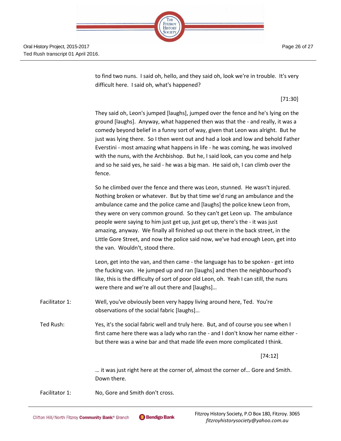THE FITZROY **HISTORY** SOCIETY

Oral History Project, 2015-2017 Ted Rush transcript 01 April 2016.

> to find two nuns. I said oh, hello, and they said oh, look we're in trouble. It's very difficult here. I said oh, what's happened?

> > [71:30]

They said oh, Leon's jumped [laughs], jumped over the fence and he's lying on the ground [laughs]. Anyway, what happened then was that the - and really, it was a comedy beyond belief in a funny sort of way, given that Leon was alright. But he just was lying there. So I then went out and had a look and low and behold Father Everstini - most amazing what happens in life - he was coming, he was involved with the nuns, with the Archbishop. But he, I said look, can you come and help and so he said yes, he said - he was a big man. He said oh, I can climb over the fence.

So he climbed over the fence and there was Leon, stunned. He wasn't injured. Nothing broken or whatever. But by that time we'd rung an ambulance and the ambulance came and the police came and [laughs] the police knew Leon from, they were on very common ground. So they can't get Leon up. The ambulance people were saying to him just get up, just get up, there's the - it was just amazing, anyway. We finally all finished up out there in the back street, in the Little Gore Street, and now the police said now, we've had enough Leon, get into the van. Wouldn't, stood there.

Leon, get into the van, and then came - the language has to be spoken - get into the fucking van. He jumped up and ran [laughs] and then the neighbourhood's like, this is the difficulty of sort of poor old Leon, oh. Yeah I can still, the nuns were there and we're all out there and [laughs]…

Facilitator 1: Well, you've obviously been very happy living around here, Ted. You're observations of the social fabric [laughs]…

Ted Rush: Yes, it's the social fabric well and truly here. But, and of course you see when I first came here there was a lady who ran the - and I don't know her name either but there was a wine bar and that made life even more complicated I think.

[74:12]

… it was just right here at the corner of, almost the corner of… Gore and Smith. Down there.

Facilitator 1: No, Gore and Smith don't cross.